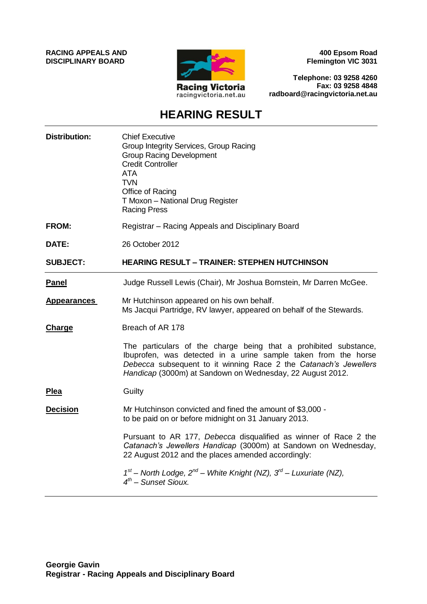**RACING APPEALS AND DISCIPLINARY BOARD**



**400 Epsom Road Flemington VIC 3031**

**Telephone: 03 9258 4260 Fax: 03 9258 4848 radboard@racingvictoria.net.au**

# **HEARING RESULT**

| <b>Distribution:</b> | <b>Chief Executive</b><br>Group Integrity Services, Group Racing<br><b>Group Racing Development</b><br><b>Credit Controller</b><br><b>ATA</b><br><b>TVN</b><br>Office of Racing<br>T Moxon - National Drug Register<br><b>Racing Press</b>                          |
|----------------------|---------------------------------------------------------------------------------------------------------------------------------------------------------------------------------------------------------------------------------------------------------------------|
| <b>FROM:</b>         | Registrar – Racing Appeals and Disciplinary Board                                                                                                                                                                                                                   |
| DATE:                | 26 October 2012                                                                                                                                                                                                                                                     |
| <b>SUBJECT:</b>      | <b>HEARING RESULT - TRAINER: STEPHEN HUTCHINSON</b>                                                                                                                                                                                                                 |
| <u>Panel</u>         | Judge Russell Lewis (Chair), Mr Joshua Bornstein, Mr Darren McGee.                                                                                                                                                                                                  |
| <b>Appearances</b>   | Mr Hutchinson appeared on his own behalf.<br>Ms Jacqui Partridge, RV lawyer, appeared on behalf of the Stewards.                                                                                                                                                    |
| <b>Charge</b>        | Breach of AR 178                                                                                                                                                                                                                                                    |
|                      | The particulars of the charge being that a prohibited substance,<br>Ibuprofen, was detected in a urine sample taken from the horse<br>Debecca subsequent to it winning Race 2 the Catanach's Jewellers<br>Handicap (3000m) at Sandown on Wednesday, 22 August 2012. |
| Plea                 | Guilty                                                                                                                                                                                                                                                              |
| <b>Decision</b>      | Mr Hutchinson convicted and fined the amount of \$3,000 -<br>to be paid on or before midnight on 31 January 2013.                                                                                                                                                   |
|                      | Pursuant to AR 177, Debecca disqualified as winner of Race 2 the<br>Catanach's Jewellers Handicap (3000m) at Sandown on Wednesday,<br>22 August 2012 and the places amended accordingly:                                                                            |
|                      | $1^{st}$ – North Lodge, $2^{nd}$ – White Knight (NZ), $3^{rd}$ – Luxuriate (NZ),<br>$4^{th}$ – Sunset Sioux.                                                                                                                                                        |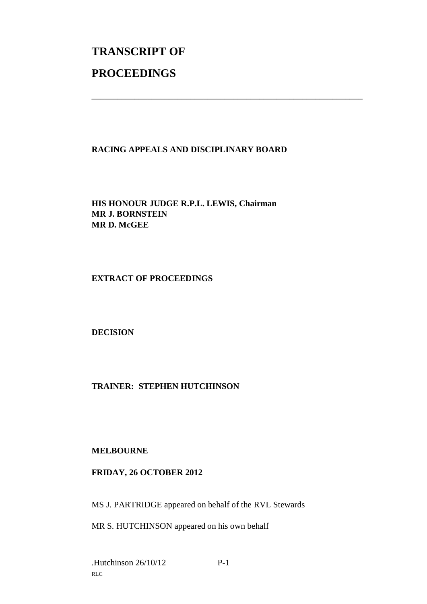# **TRANSCRIPT OF PROCEEDINGS**

## **RACING APPEALS AND DISCIPLINARY BOARD**

\_\_\_\_\_\_\_\_\_\_\_\_\_\_\_\_\_\_\_\_\_\_\_\_\_\_\_\_\_\_\_\_\_\_\_\_\_\_\_\_\_\_\_\_\_\_\_\_\_\_\_\_\_\_\_\_\_\_\_\_\_\_\_

**HIS HONOUR JUDGE R.P.L. LEWIS, Chairman MR J. BORNSTEIN MR D. McGEE**

**EXTRACT OF PROCEEDINGS**

**DECISION**

**TRAINER: STEPHEN HUTCHINSON**

### **MELBOURNE**

### **FRIDAY, 26 OCTOBER 2012**

MS J. PARTRIDGE appeared on behalf of the RVL Stewards

MR S. HUTCHINSON appeared on his own behalf